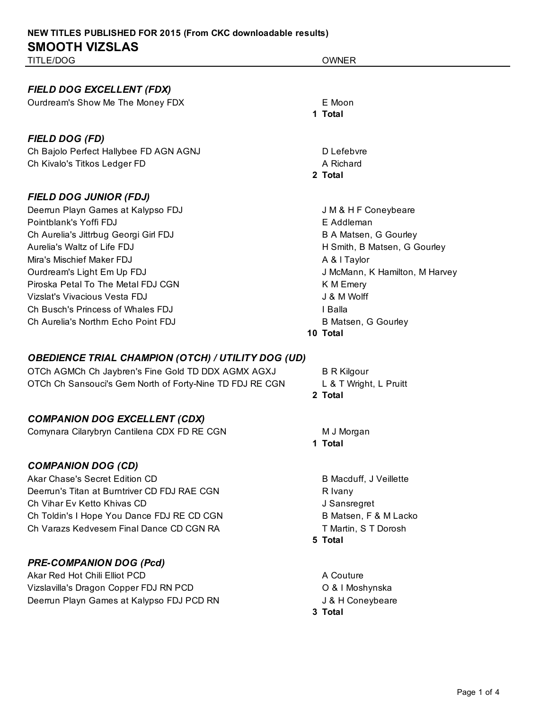*FIELD DOG EXCELLENT (FDX)*

Ourdream's Show Me The Money FDX E Moon

## *FIELD DOG (FD)*

Ch Bajolo Perfect Hallybee FD AGN AGNJ DEFEBRAGE BAGNER DEFEBRATION DEFEBRATION DEFEBRATION DEFECTS Ch Kivalo's Titkos Ledger FD A Richard

### *FIELD DOG JUNIOR (FDJ)*

Deerrun Playn Games at Kalypso FDJ **Southern Coneybeare** J M & H F Coneybeare Pointblank's Yoffi FDJ **Example 2018** E Addleman Ch Aurelia's Jittrbug Georgi Girl FDJ B A Matsen, G Gourley Aurelia's Waltz of Life FDJ **H** Smith, B Matsen, G Gourley Mira's Mischief Maker FDJ **A & l Taylor** A & l Taylor Ourdream's Light Em Up FDJ J McMann, K Hamilton, M Harvey Piroska Petal To The Metal FDJ CGN And The Metal To The Metal FOJ CGN And The Metal Research A K M Emery Vizslat's Vivacious Vesta FDJ J & M Wolff Ch Busch's Princess of Whales FDJ **I Balla** Ch Aurelia's Northrn Echo Point FDJ **B Matsen, G Gourley** 

### *OBEDIENCE TRIAL CHAMPION (OTCH) / UTILITY DOG (UD)*

OTCh AGMCh Ch Jaybren's Fine Gold TD DDX AGMX AGXJ B R Kilgour OTCh Ch Sansouci's Gem North of Forty-Nine TD FDJ RE CGN L & T Wright, L Pruitt

## *COMPANION DOG EXCELLENT (CDX)*

Comynara Cilarybryn Cantilena CDX FD RE CGN M M J Morgan

### *COMPANION DOG (CD)*

Akar Chase's Secret Edition CD and B Macduff, J Veillette Deerrun's Titan at Burntriver CD FDJ RAE CGN R Ivany Ch Vihar Ev Ketto Khivas CD **Grades Channels Channels Channels** J Sansregret Ch Toldin's I Hope You Dance FDJ RE CD CGN B Matsen, F & M Lacko Ch Varazs Kedvesem Final Dance CD CGN RA TWARE THE THAT THAT THAT TO DO TO THAT TO DO TO BOOSH

### *PRE-COMPANION DOG (Pcd)*

Akar Red Hot Chili Elliot PCD A Couture A Couture Vizslavilla's Dragon Copper FDJ RN PCD **CONVERGANT CONVERGANT CONVERGANT CONVERGANT** O & I Moshynska Deerrun Playn Games at Kalypso FDJ PCD RN JAMES AND J& H Coneybeare

**1 Total 2 Total**

#### **10 Total**

**2 Total**

**1 Total**

**5 Total**

**3 Total**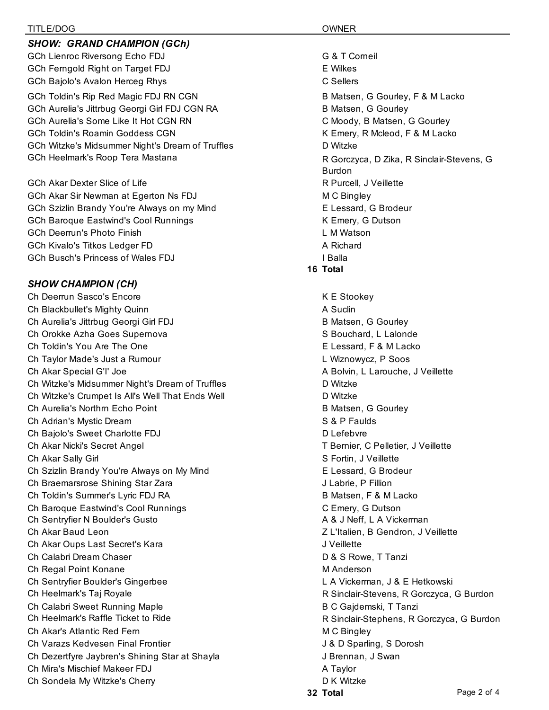#### TITLE/DOG OWNER

#### *SHOW: GRAND CHAMPION (GCh)*

GCh Lienroc Riversong Echo FDJ GA T Corneil GCh Ferngold Right on Target FDJ **EXALL SERVICE SERVICES** EXPIRES GCh Bajolo's Avalon Herceg Rhys CSellers CSellers

GCh Aurelia's Jittrbug Georgi Girl FDJ CGN RA B Matsen, G Gourley GCh Aurelia's Some Like It Hot CGN RN CONDUCTION C Moody, B Matsen, G Gourley GCh Toldin's Roamin Goddess CGN K Emery, R Mcleod, F & M Lacko GCh Witzke's Midsummer Night's Dream of Truffles **Disk Container Strutter** Disk Witzke

GCh Akar Dexter Slice of Life **R** Purcell, J Veillette GCh Akar Sir Newman at Egerton Ns FDJ M C Bingley GCh Szizlin Brandy You're Always on my Mind **Example 2018** E Lessard, G Brodeur GCh Baroque Eastwind's Cool Runnings **K** Emery, G Dutson GCh Deerrun's Photo Finish L M Watson GCh Kivalo's Titkos Ledger FD **A Richard** A Richard GCh Busch's Princess of Wales FDJ **I Balla** 

## *SHOW CHAMPION (CH)*

Ch Deerrun Sasco's Encore **K** E Stookey Ch Blackbullet's Mighty Quinn **A Successity** A Suclin Ch Aurelia's Jittrbug Georgi Girl FDJ B Matsen, G Gourley Ch Orokke Azha Goes Supernova School States and School States States States States States States States States Ch Toldin's You Are The One E Lessard, F & M Lacko Ch Taylor Made's Just a Rumour L Wiznowycz, P Soos Ch Akar Special G'I' Joe **A Bolvin, Letter A Bolvin, L Larouche, J** Veillette Ch Witzke's Midsummer Night's Dream of Truffles **Direct Access Containst Container** D Witzke Ch Witzke's Crumpet Is All's Well That Ends Well D Witzke Ch Aurelia's Northrn Echo Point **B Matsen, G Gourley** B Matsen, G Gourley Ch Adrian's Mystic Dream S & P Faulds Ch Bajolo's Sweet Charlotte FDJ Defebvre Ch Akar Nicki's Secret Angel T Bernier, C Pelletier, J Veillette Ch Akar Sally Girl Solid States and States and States and States States States States States States and States Ch Szizlin Brandy You're Always on My Mind **Example 20** E Lessard, G Brodeur Ch Braemarsrose Shining Star Zara J Labrie, P Fillion Ch Toldin's Summer's Lyric FDJ RA B Matsen, F & M Lacko Ch Baroque Eastwind's Cool Runnings Controlled Controlled Controlled Controlled Controlled Controlled Controlled Controlled Controlled Controlled Controlled Controlled Controlled Controlled Controlled Controlled Controlled Ch Sentryfier N Boulder's Gusto **A & J Neff, L A Vickerman** Ch Akar Baud Leon Z L'Italien, B Gendron, J Veillette Ch Akar Oups Last Secret's Kara J Veillette Ch Calabri Dream Chaser Chaser Chaser Chaser Chaser D & S Rowe, T Tanzi Ch Regal Point Konane Management Charles and Management Management Management Management Management Management M Ch Sentryfier Boulder's Gingerbee L A Vickerman, J & E Hetkowski Ch Heelmark's Taj Royale R Sinclair-Stevens, R Gorczyca, G Burdon Ch Calabri Sweet Running Maple **B C Gagdemski, T Tanzi** Ch Heelmark's Raffle Ticket to Ride **Research Article R** Sinclair-Stephens, R Gorczyca, G Burdon Ch Akar's Atlantic Red Fern M C Bingley Ch Varazs Kedvesen Final Frontier **J** & D Sparling, S Dorosh Ch Dezertfyre Jaybren's Shining Star at Shayla **Juliet Channel Star at Shawan**, J Swan Ch Mira's Mischief Makeer FDJ A Taylor Ch Sondela My Witzke's Cherry D K Witzke Cherry D K Witzke

GCh Toldin's Rip Red Magic FDJ RN CGN B Matsen, G Gourley, F & M Lacko GCh Heelmark's Roop Tera Mastana R Gorczyca, D Zika, R Sinclair-Stevens, G Burdon **16 Total**

**32 Total**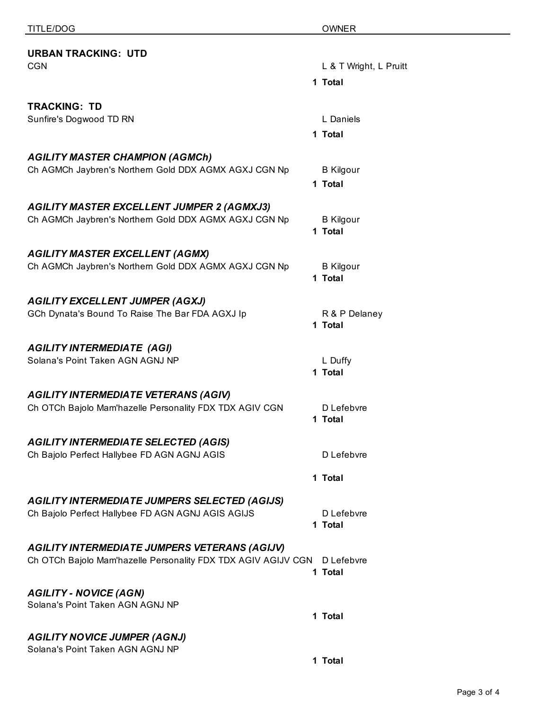| .                                                                                               | $\sim$                      |
|-------------------------------------------------------------------------------------------------|-----------------------------|
| <b>URBAN TRACKING: UTD</b>                                                                      |                             |
| <b>CGN</b>                                                                                      | L & T Wright, L Pruitt      |
|                                                                                                 | 1 Total                     |
| <b>TRACKING: TD</b>                                                                             |                             |
| Sunfire's Dogwood TD RN                                                                         | L Daniels                   |
|                                                                                                 | 1 Total                     |
|                                                                                                 |                             |
| <b>AGILITY MASTER CHAMPION (AGMCh)</b><br>Ch AGMCh Jaybren's Northern Gold DDX AGMX AGXJ CGN Np | <b>B</b> Kilgour            |
|                                                                                                 | 1 Total                     |
|                                                                                                 |                             |
| <b>AGILITY MASTER EXCELLENT JUMPER 2 (AGMXJ3)</b>                                               |                             |
| Ch AGMCh Jaybren's Northern Gold DDX AGMX AGXJ CGN Np                                           | <b>B</b> Kilgour<br>1 Total |
| <b>AGILITY MASTER EXCELLENT (AGMX)</b>                                                          |                             |
| Ch AGMCh Jaybren's Northern Gold DDX AGMX AGXJ CGN Np                                           | <b>B</b> Kilgour            |
|                                                                                                 | 1 Total                     |
| <b>AGILITY EXCELLENT JUMPER (AGXJ)</b>                                                          |                             |
| GCh Dynata's Bound To Raise The Bar FDA AGXJ Ip                                                 | R & P Delaney               |
|                                                                                                 | 1 Total                     |
| <b>AGILITY INTERMEDIATE (AGI)</b>                                                               |                             |
| Solana's Point Taken AGN AGNJ NP                                                                | L Duffy                     |
|                                                                                                 | 1 Total                     |
| <b>AGILITY INTERMEDIATE VETERANS (AGIV)</b>                                                     |                             |
| Ch OTCh Bajolo Mam'hazelle Personality FDX TDX AGIV CGN                                         | D Lefebvre                  |
|                                                                                                 | 1 Total                     |
| <b>AGILITY INTERMEDIATE SELECTED (AGIS)</b>                                                     |                             |
| Ch Bajolo Perfect Hallybee FD AGN AGNJ AGIS                                                     | D Lefebvre                  |
|                                                                                                 | 1 Total                     |
| <b>AGILITY INTERMEDIATE JUMPERS SELECTED (AGIJS)</b>                                            |                             |
| Ch Bajolo Perfect Hallybee FD AGN AGNJ AGIS AGIJS                                               | D Lefebvre                  |
|                                                                                                 | 1 Total                     |
| <b>AGILITY INTERMEDIATE JUMPERS VETERANS (AGIJV)</b>                                            |                             |
| Ch OTCh Bajolo Mam'hazelle Personality FDX TDX AGIV AGIJV CGN                                   | D Lefebvre                  |
|                                                                                                 | 1 Total                     |
| <b>AGILITY - NOVICE (AGN)</b>                                                                   |                             |
| Solana's Point Taken AGN AGNJ NP                                                                |                             |
|                                                                                                 | 1 Total                     |
| <b>AGILITY NOVICE JUMPER (AGNJ)</b>                                                             |                             |
| Solana's Point Taken AGN AGNJ NP                                                                |                             |

**1 Total**